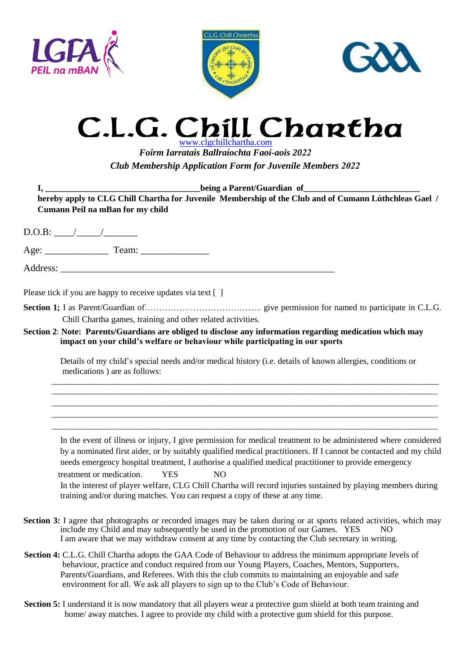





## C.L.G. C C.L.G. Chill Chartha.com

*Foirm Iarratais Ballraíochta Faoí-aois 2022 Club Membership Application Form for Juvenile Members 2022*

**I, \_\_\_\_\_\_\_\_\_\_\_\_\_\_\_\_\_\_\_\_\_\_\_\_\_\_\_\_\_\_\_\_\_\_\_\_being a Parent/Guardian of\_\_\_\_\_\_\_\_\_\_\_\_\_\_\_\_\_\_\_\_\_\_\_\_\_\_\_**

**hereby apply to CLG Chill Chartha for Juvenile Membership of the Club and of Cumann Lúthchleas Gael / Cumann Peil na mBan for my child**

| Please tick if you are happy to receive updates via text []                                                                                                                                                                                                                                                                                                                                                                                                                                                                                                                                               |
|-----------------------------------------------------------------------------------------------------------------------------------------------------------------------------------------------------------------------------------------------------------------------------------------------------------------------------------------------------------------------------------------------------------------------------------------------------------------------------------------------------------------------------------------------------------------------------------------------------------|
| Chill Chartha games, training and other related activities.                                                                                                                                                                                                                                                                                                                                                                                                                                                                                                                                               |
| Section 2: Note: Parents/Guardians are obliged to disclose any information regarding medication which may<br>impact on your child's welfare or behaviour while participating in our sports                                                                                                                                                                                                                                                                                                                                                                                                                |
| Details of my child's special needs and/or medical history (i.e. details of known allergies, conditions or<br>medications) are as follows:                                                                                                                                                                                                                                                                                                                                                                                                                                                                |
|                                                                                                                                                                                                                                                                                                                                                                                                                                                                                                                                                                                                           |
| In the event of illness or injury, I give permission for medical treatment to be administered where considered<br>by a nominated first aider, or by suitably qualified medical practitioners. If I cannot be contacted and my child<br>needs emergency hospital treatment, I authorise a qualified medical practitioner to provide emergency<br><b>YES</b><br>N <sub>O</sub><br>treatment or medication.<br>In the interest of player welfare, CLG Chill Chartha will record injuries sustained by playing members during<br>training and/or during matches. You can request a copy of these at any time. |

- **Section 3:** I agree that photographs or recorded images may be taken during or at sports related activities, which may include my Child and may subsequently be used in the promotion of our Games. YES NO I am aware that we may withdraw consent at any time by contacting the Club secretary in writing.
- **Section 4:** C.L.G. Chill Chartha adopts the GAA Code of Behaviour to address the minimum appropriate levels of behaviour, practice and conduct required from our Young Players, Coaches, Mentors, Supporters, Parents/Guardians, and Referees. With this the club commits to maintaining an enjoyable and safe environment for all. We ask all players to sign up to the Club's Code of Behaviour.
- **Section 5:** I understand it is now mandatory that all players wear a protective gum shield at both team training and home/ away matches. I agree to provide my child with a protective gum shield for this purpose.